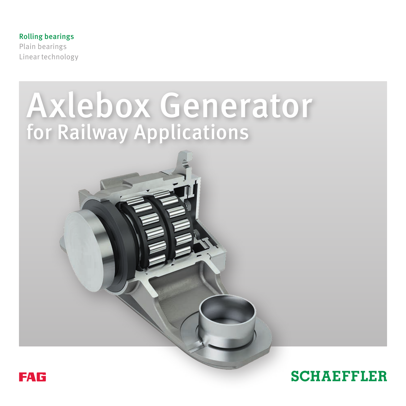Rolling bearings Plain bearings Linear technology

# Axlebox Generator for Railway Applications



## **SCHAEFFLER**